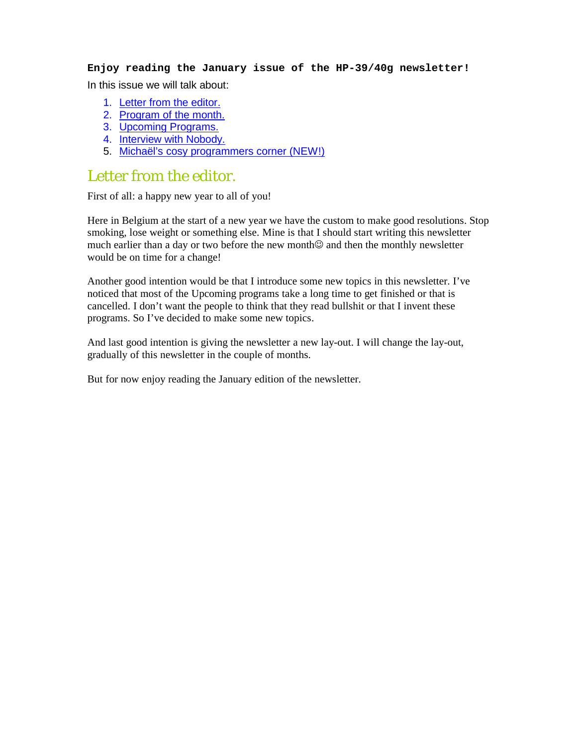**Enjoy reading the January issue of the HP-39/40g newsletter!**  In this issue we will talk about:

- 1. Letter from the editor.
- 2. Program of the month.
- 3. Upcoming Programs.
- 4. Interview with Nobody.
- 5. Michaël's cosy programmers corner (NEW!)

#### Letter from the editor.

First of all: a happy new year to all of you!

Here in Belgium at the start of a new year we have the custom to make good resolutions. Stop smoking, lose weight or something else. Mine is that I should start writing this newsletter much earlier than a day or two before the new month $\odot$  and then the monthly newsletter would be on time for a change!

Another good intention would be that I introduce some new topics in this newsletter. I've noticed that most of the Upcoming programs take a long time to get finished or that is cancelled. I don't want the people to think that they read bullshit or that I invent these programs. So I've decided to make some new topics.

And last good intention is giving the newsletter a new lay-out. I will change the lay-out, gradually of this newsletter in the couple of months.

But for now enjoy reading the January edition of the newsletter.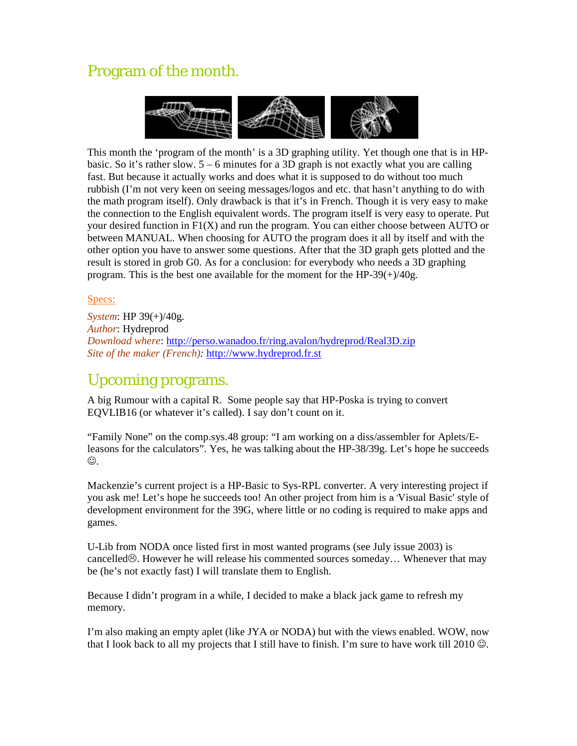# Program of the month.



This month the 'program of the month' is a 3D graphing utility. Yet though one that is in HPbasic. So it's rather slow.  $5 - 6$  minutes for a 3D graph is not exactly what you are calling fast. But because it actually works and does what it is supposed to do without too much rubbish (I'm not very keen on seeing messages/logos and etc. that hasn't anything to do with the math program itself). Only drawback is that it's in French. Though it is very easy to make the connection to the English equivalent words. The program itself is very easy to operate. Put your desired function in  $F1(X)$  and run the program. You can either choose between AUTO or between MANUAL. When choosing for AUTO the program does it all by itself and with the other option you have to answer some questions. After that the 3D graph gets plotted and the result is stored in grob G0. As for a conclusion: for everybody who needs a 3D graphing program. This is the best one available for the moment for the HP-39 $(+)/40$ g.

#### Specs:

*System*: HP 39(+)/40g. *Author*: Hydreprod *Download where*: http://perso.wanadoo.fr/ring.avalon/hydreprod/Real3D.zip *Site of the maker (French):* http://www.hydreprod.fr.st

#### Upcoming programs.

A big Rumour with a capital R. Some people say that HP-Poska is trying to convert EQVLIB16 (or whatever it's called). I say don't count on it.

"Family None" on the comp.sys.48 group: "I am working on a diss/assembler for Aplets/Eleasons for the calculators". Yes, he was talking about the HP-38/39g. Let's hope he succeeds ☺.

Mackenzie's current project is a HP-Basic to Sys-RPL converter. A very interesting project if you ask me! Let's hope he succeeds too! An other project from him is a 'Visual Basic' style of development environment for the 39G, where little or no coding is required to make apps and games.

U-Lib from NODA once listed first in most wanted programs (see July issue 2003) is cancelled<sup>®</sup>. However he will release his commented sources someday... Whenever that may be (he's not exactly fast) I will translate them to English.

Because I didn't program in a while, I decided to make a black jack game to refresh my memory.

I'm also making an empty aplet (like JYA or NODA) but with the views enabled. WOW, now that I look back to all my projects that I still have to finish. I'm sure to have work till 2010  $\odot$ .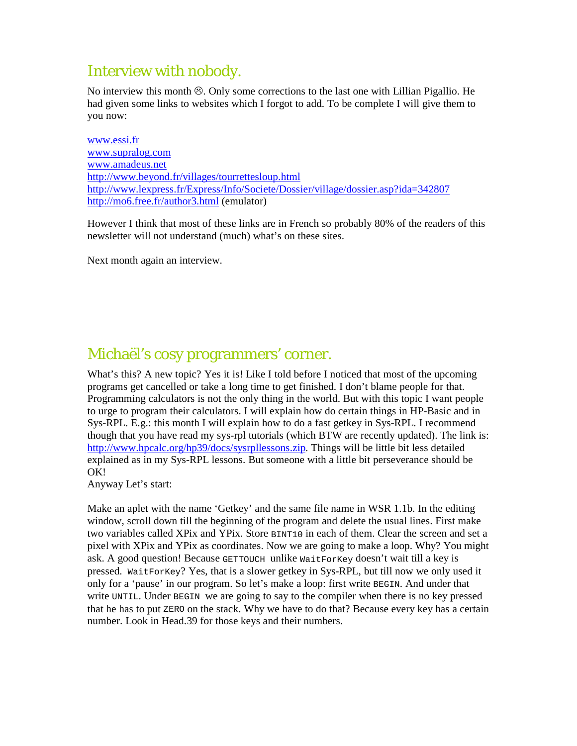## Interview with nobody.

No interview this month  $\otimes$ . Only some corrections to the last one with Lillian Pigallio. He had given some links to websites which I forgot to add. To be complete I will give them to you now:

www.essi.fr www.supralog.com www.amadeus.net http://www.beyond.fr/villages/tourrettesloup.html http://www.lexpress.fr/Express/Info/Societe/Dossier/village/dossier.asp?ida=342807 http://mo6.free.fr/author3.html (emulator)

However I think that most of these links are in French so probably 80% of the readers of this newsletter will not understand (much) what's on these sites.

Next month again an interview.

### Michaël's cosy programmers' corner.

What's this? A new topic? Yes it is! Like I told before I noticed that most of the upcoming programs get cancelled or take a long time to get finished. I don't blame people for that. Programming calculators is not the only thing in the world. But with this topic I want people to urge to program their calculators. I will explain how do certain things in HP-Basic and in Sys-RPL. E.g.: this month I will explain how to do a fast getkey in Sys-RPL. I recommend though that you have read my sys-rpl tutorials (which BTW are recently updated). The link is: http://www.hpcalc.org/hp39/docs/sysrpllessons.zip. Things will be little bit less detailed explained as in my Sys-RPL lessons. But someone with a little bit perseverance should be OK!

Anyway Let's start:

Make an aplet with the name 'Getkey' and the same file name in WSR 1.1b. In the editing window, scroll down till the beginning of the program and delete the usual lines. First make two variables called XPix and YPix. Store BINT10 in each of them. Clear the screen and set a pixel with XPix and YPix as coordinates. Now we are going to make a loop. Why? You might ask. A good question! Because GETTOUCH unlike WaitForKey doesn't wait till a key is pressed. WaitForKey? Yes, that is a slower getkey in Sys-RPL, but till now we only used it only for a 'pause' in our program. So let's make a loop: first write BEGIN. And under that write UNTIL. Under BEGIN we are going to say to the compiler when there is no key pressed that he has to put ZERO on the stack. Why we have to do that? Because every key has a certain number. Look in Head.39 for those keys and their numbers.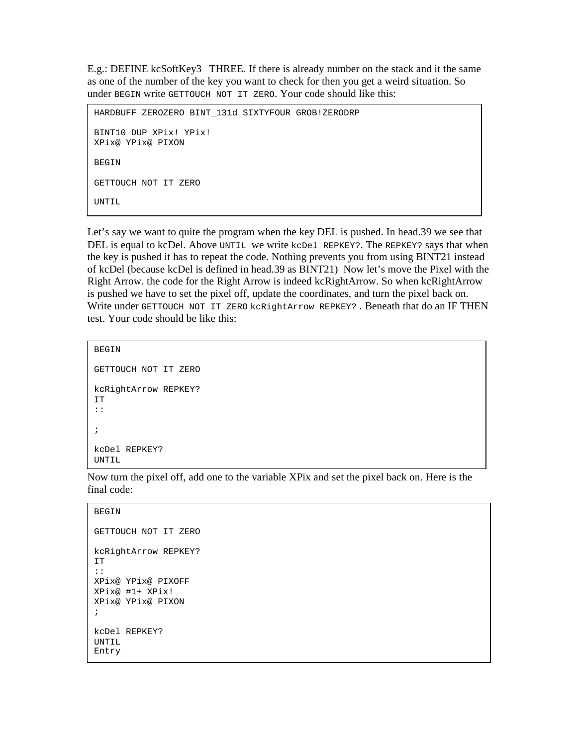E.g.: DEFINE kcSoftKey3 THREE. If there is already number on the stack and it the same as one of the number of the key you want to check for then you get a weird situation. So under BEGIN write GETTOUCH NOT IT ZERO. Your code should like this:

```
HARDBUFF ZEROZERO BINT_131d SIXTYFOUR GROB!ZERODRP 
BINT10 DUP XPix! YPix! 
XPix@ YPix@ PIXON 
BEGIN
GETTOUCH NOT IT ZERO 
UNTIL
```
Let's say we want to quite the program when the key DEL is pushed. In head.39 we see that DEL is equal to kcDel. Above UNTIL we write kcDel REPKEY?. The REPKEY? says that when the key is pushed it has to repeat the code. Nothing prevents you from using BINT21 instead of kcDel (because kcDel is defined in head.39 as BINT21) Now let's move the Pixel with the Right Arrow. the code for the Right Arrow is indeed kcRightArrow. So when kcRightArrow is pushed we have to set the pixel off, update the coordinates, and turn the pixel back on. Write under GETTOUCH NOT IT ZERO kcRightArrow REPKEY? . Beneath that do an IF THEN test. Your code should be like this:

```
BEGIN 
GETTOUCH NOT IT ZERO 
kcRightArrow REPKEY? 
IT 
:: 
; 
kcDel REPKEY? 
UNTIL
```
Now turn the pixel off, add one to the variable XPix and set the pixel back on. Here is the final code:

#### **BEGIN**

ſ

ſ

```
GETTOUCH NOT IT ZERO 
kcRightArrow REPKEY? 
IT 
:: 
XPix@ YPix@ PIXOFF 
XPix@ #1+ XPix! 
XPix@ YPix@ PIXON 
; 
kcDel REPKEY? 
UNTIL 
Entry
```